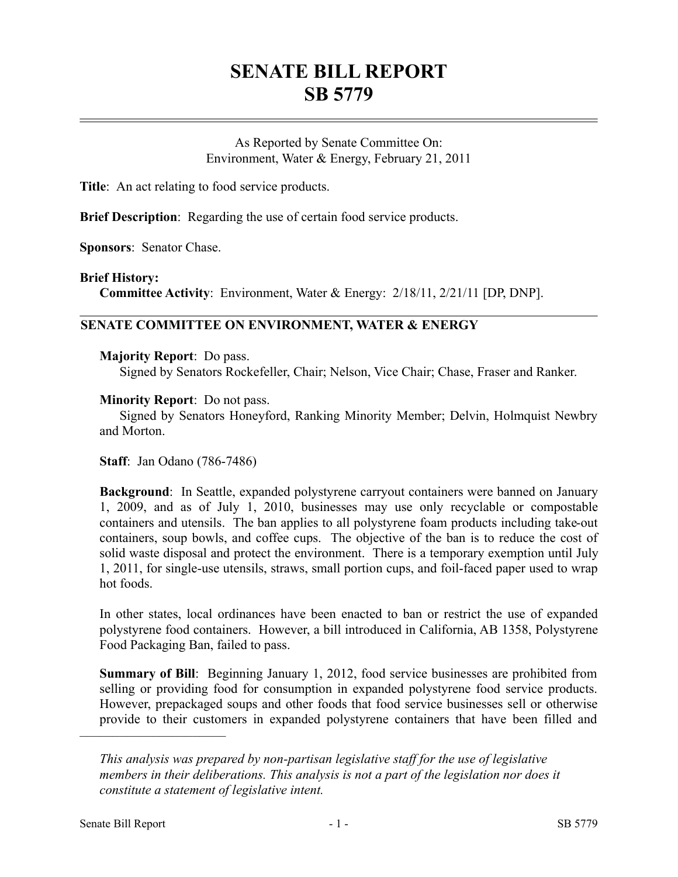# **SENATE BILL REPORT SB 5779**

As Reported by Senate Committee On: Environment, Water & Energy, February 21, 2011

**Title**: An act relating to food service products.

**Brief Description**: Regarding the use of certain food service products.

**Sponsors**: Senator Chase.

### **Brief History:**

**Committee Activity**: Environment, Water & Energy: 2/18/11, 2/21/11 [DP, DNP].

# **SENATE COMMITTEE ON ENVIRONMENT, WATER & ENERGY**

### **Majority Report**: Do pass.

Signed by Senators Rockefeller, Chair; Nelson, Vice Chair; Chase, Fraser and Ranker.

### **Minority Report**: Do not pass.

Signed by Senators Honeyford, Ranking Minority Member; Delvin, Holmquist Newbry and Morton.

**Staff**: Jan Odano (786-7486)

**Background**: In Seattle, expanded polystyrene carryout containers were banned on January 1, 2009, and as of July 1, 2010, businesses may use only recyclable or compostable containers and utensils. The ban applies to all polystyrene foam products including take-out containers, soup bowls, and coffee cups. The objective of the ban is to reduce the cost of solid waste disposal and protect the environment. There is a temporary exemption until July 1, 2011, for single-use utensils, straws, small portion cups, and foil-faced paper used to wrap hot foods.

In other states, local ordinances have been enacted to ban or restrict the use of expanded polystyrene food containers. However, a bill introduced in California, AB 1358, Polystyrene Food Packaging Ban, failed to pass.

**Summary of Bill**: Beginning January 1, 2012, food service businesses are prohibited from selling or providing food for consumption in expanded polystyrene food service products. However, prepackaged soups and other foods that food service businesses sell or otherwise provide to their customers in expanded polystyrene containers that have been filled and

––––––––––––––––––––––

*This analysis was prepared by non-partisan legislative staff for the use of legislative members in their deliberations. This analysis is not a part of the legislation nor does it constitute a statement of legislative intent.*